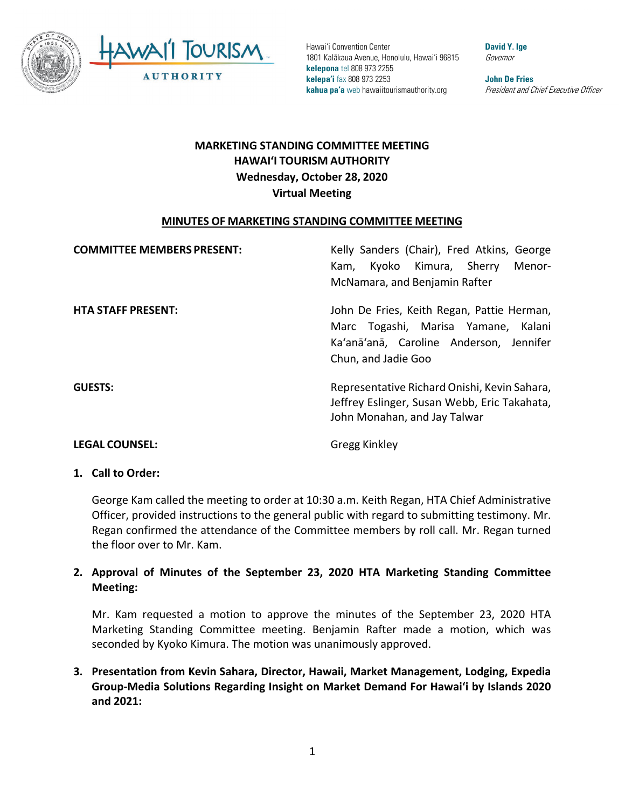

**David Y. Ige** Governor

**John De Fries** President and Chief Executive Officer

# **MARKETING STANDING COMMITTEE MEETING HAWAI'I TOURISM AUTHORITY Wednesday, October 28, 2020 Virtual Meeting**

#### **MINUTES OF MARKETING STANDING COMMITTEE MEETING**

| <b>COMMITTEE MEMBERS PRESENT:</b> | Kelly Sanders (Chair), Fred Atkins, George<br>Kyoko Kimura, Sherry<br>Menor-<br>Kam.<br>McNamara, and Benjamin Rafter                                  |
|-----------------------------------|--------------------------------------------------------------------------------------------------------------------------------------------------------|
| <b>HTA STAFF PRESENT:</b>         | John De Fries, Keith Regan, Pattie Herman,<br>Marc Togashi, Marisa Yamane,<br>Kalani<br>Ka'anā'anā, Caroline Anderson, Jennifer<br>Chun, and Jadie Goo |
| <b>GUESTS:</b>                    | Representative Richard Onishi, Kevin Sahara,<br>Jeffrey Eslinger, Susan Webb, Eric Takahata,<br>John Monahan, and Jay Talwar                           |

**LEGAL COUNSEL:** Gregg Kinkley

#### **1. Call to Order:**

George Kam called the meeting to order at 10:30 a.m. Keith Regan, HTA Chief Administrative Officer, provided instructions to the general public with regard to submitting testimony. Mr. Regan confirmed the attendance of the Committee members by roll call. Mr. Regan turned the floor over to Mr. Kam.

### **2. Approval of Minutes of the September 23, 2020 HTA Marketing Standing Committee Meeting:**

Mr. Kam requested a motion to approve the minutes of the September 23, 2020 HTA Marketing Standing Committee meeting. Benjamin Rafter made a motion, which was seconded by Kyoko Kimura. The motion was unanimously approved.

**3. Presentation from Kevin Sahara, Director, Hawaii, Market Management, Lodging, Expedia Group-Media Solutions Regarding Insight on Market Demand For Hawai'i by Islands 2020 and 2021:**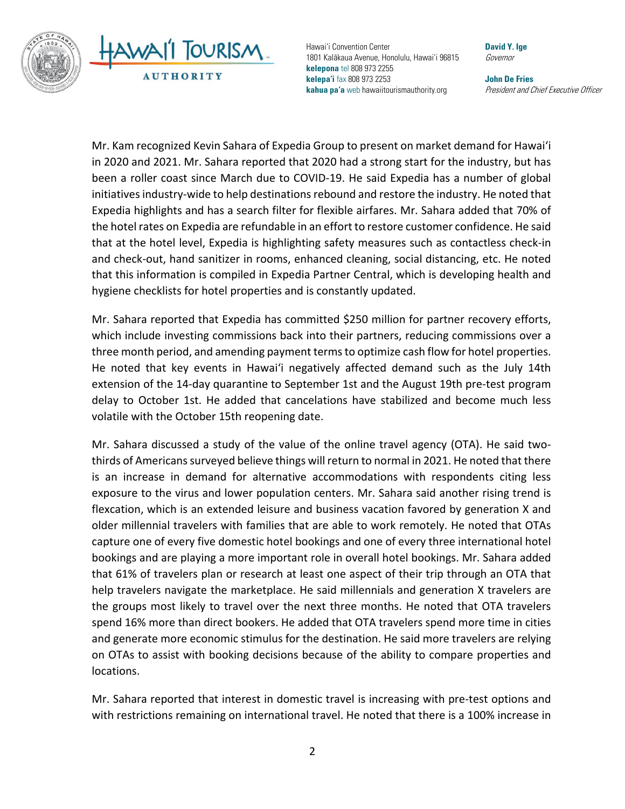



**David Y. Ige** Governor

**John De Fries** President and Chief Executive Officer

Mr. Kam recognized Kevin Sahara of Expedia Group to present on market demand for Hawai'i in 2020 and 2021. Mr. Sahara reported that 2020 had a strong start for the industry, but has been a roller coast since March due to COVID-19. He said Expedia has a number of global initiatives industry-wide to help destinations rebound and restore the industry. He noted that Expedia highlights and has a search filter for flexible airfares. Mr. Sahara added that 70% of the hotel rates on Expedia are refundable in an effort to restore customer confidence. He said that at the hotel level, Expedia is highlighting safety measures such as contactless check-in and check-out, hand sanitizer in rooms, enhanced cleaning, social distancing, etc. He noted that this information is compiled in Expedia Partner Central, which is developing health and hygiene checklists for hotel properties and is constantly updated.

Mr. Sahara reported that Expedia has committed \$250 million for partner recovery efforts, which include investing commissions back into their partners, reducing commissions over a three month period, and amending payment terms to optimize cash flow for hotel properties. He noted that key events in Hawai'i negatively affected demand such as the July 14th extension of the 14-day quarantine to September 1st and the August 19th pre-test program delay to October 1st. He added that cancelations have stabilized and become much less volatile with the October 15th reopening date.

Mr. Sahara discussed a study of the value of the online travel agency (OTA). He said twothirds of Americans surveyed believe things will return to normal in 2021. He noted that there is an increase in demand for alternative accommodations with respondents citing less exposure to the virus and lower population centers. Mr. Sahara said another rising trend is flexcation, which is an extended leisure and business vacation favored by generation X and older millennial travelers with families that are able to work remotely. He noted that OTAs capture one of every five domestic hotel bookings and one of every three international hotel bookings and are playing a more important role in overall hotel bookings. Mr. Sahara added that 61% of travelers plan or research at least one aspect of their trip through an OTA that help travelers navigate the marketplace. He said millennials and generation X travelers are the groups most likely to travel over the next three months. He noted that OTA travelers spend 16% more than direct bookers. He added that OTA travelers spend more time in cities and generate more economic stimulus for the destination. He said more travelers are relying on OTAs to assist with booking decisions because of the ability to compare properties and locations.

Mr. Sahara reported that interest in domestic travel is increasing with pre-test options and with restrictions remaining on international travel. He noted that there is a 100% increase in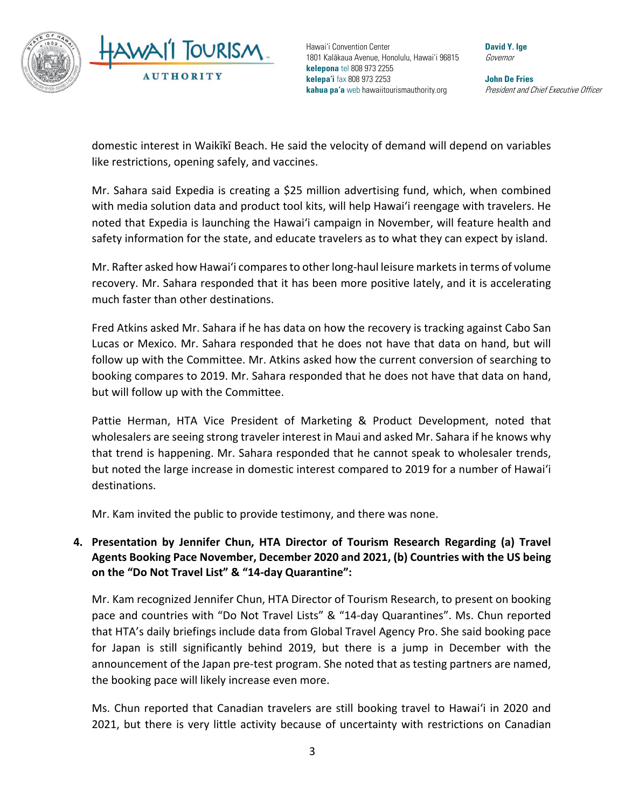

**David Y. Ige** Governor

**John De Fries** President and Chief Executive Officer

domestic interest in Waikīkī Beach. He said the velocity of demand will depend on variables like restrictions, opening safely, and vaccines.

Mr. Sahara said Expedia is creating a \$25 million advertising fund, which, when combined with media solution data and product tool kits, will help Hawai'i reengage with travelers. He noted that Expedia is launching the Hawai'i campaign in November, will feature health and safety information for the state, and educate travelers as to what they can expect by island.

Mr. Rafter asked how Hawai'i compares to other long-haul leisure markets in terms of volume recovery. Mr. Sahara responded that it has been more positive lately, and it is accelerating much faster than other destinations.

Fred Atkins asked Mr. Sahara if he has data on how the recovery is tracking against Cabo San Lucas or Mexico. Mr. Sahara responded that he does not have that data on hand, but will follow up with the Committee. Mr. Atkins asked how the current conversion of searching to booking compares to 2019. Mr. Sahara responded that he does not have that data on hand, but will follow up with the Committee.

Pattie Herman, HTA Vice President of Marketing & Product Development, noted that wholesalers are seeing strong traveler interest in Maui and asked Mr. Sahara if he knows why that trend is happening. Mr. Sahara responded that he cannot speak to wholesaler trends, but noted the large increase in domestic interest compared to 2019 for a number of Hawai'i destinations.

Mr. Kam invited the public to provide testimony, and there was none.

## **4. Presentation by Jennifer Chun, HTA Director of Tourism Research Regarding (a) Travel Agents Booking Pace November, December 2020 and 2021, (b) Countries with the US being on the "Do Not Travel List" & "14-day Quarantine":**

Mr. Kam recognized Jennifer Chun, HTA Director of Tourism Research, to present on booking pace and countries with "Do Not Travel Lists" & "14-day Quarantines". Ms. Chun reported that HTA's daily briefings include data from Global Travel Agency Pro. She said booking pace for Japan is still significantly behind 2019, but there is a jump in December with the announcement of the Japan pre-test program. She noted that as testing partners are named, the booking pace will likely increase even more.

Ms. Chun reported that Canadian travelers are still booking travel to Hawai'i in 2020 and 2021, but there is very little activity because of uncertainty with restrictions on Canadian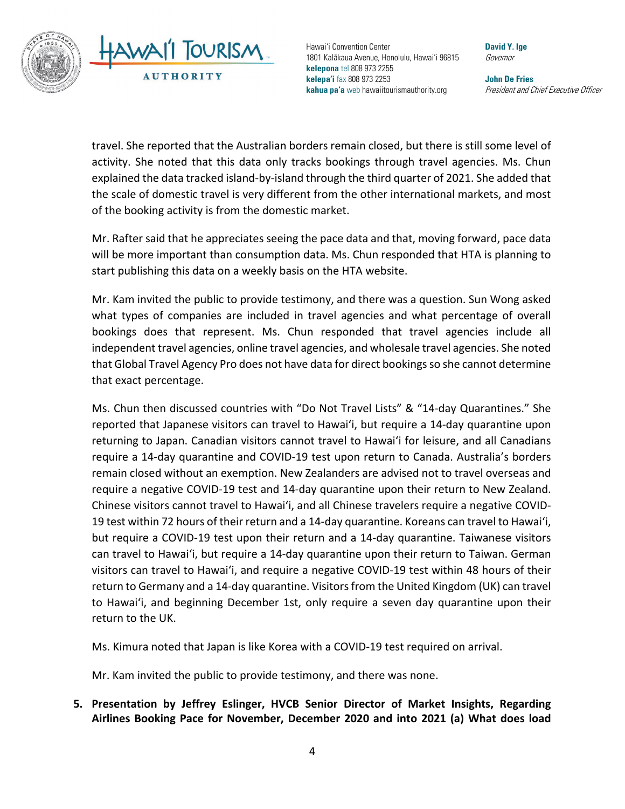

**David Y. Ige** Governor

**John De Fries** President and Chief Executive Officer

travel. She reported that the Australian borders remain closed, but there is still some level of activity. She noted that this data only tracks bookings through travel agencies. Ms. Chun explained the data tracked island-by-island through the third quarter of 2021. She added that the scale of domestic travel is very different from the other international markets, and most of the booking activity is from the domestic market.

Mr. Rafter said that he appreciates seeing the pace data and that, moving forward, pace data will be more important than consumption data. Ms. Chun responded that HTA is planning to start publishing this data on a weekly basis on the HTA website.

Mr. Kam invited the public to provide testimony, and there was a question. Sun Wong asked what types of companies are included in travel agencies and what percentage of overall bookings does that represent. Ms. Chun responded that travel agencies include all independent travel agencies, online travel agencies, and wholesale travel agencies. She noted that Global Travel Agency Pro does not have data for direct bookings so she cannot determine that exact percentage.

Ms. Chun then discussed countries with "Do Not Travel Lists" & "14-day Quarantines." She reported that Japanese visitors can travel to Hawai'i, but require a 14-day quarantine upon returning to Japan. Canadian visitors cannot travel to Hawai'i for leisure, and all Canadians require a 14-day quarantine and COVID-19 test upon return to Canada. Australia's borders remain closed without an exemption. New Zealanders are advised not to travel overseas and require a negative COVID-19 test and 14-day quarantine upon their return to New Zealand. Chinese visitors cannot travel to Hawai'i, and all Chinese travelers require a negative COVID-19 test within 72 hours of their return and a 14-day quarantine. Koreans can travel to Hawai'i, but require a COVID-19 test upon their return and a 14-day quarantine. Taiwanese visitors can travel to Hawai'i, but require a 14-day quarantine upon their return to Taiwan. German visitors can travel to Hawai'i, and require a negative COVID-19 test within 48 hours of their return to Germany and a 14-day quarantine. Visitors from the United Kingdom (UK) can travel to Hawai'i, and beginning December 1st, only require a seven day quarantine upon their return to the UK.

Ms. Kimura noted that Japan is like Korea with a COVID-19 test required on arrival.

Mr. Kam invited the public to provide testimony, and there was none.

**5. Presentation by Jeffrey Eslinger, HVCB Senior Director of Market Insights, Regarding Airlines Booking Pace for November, December 2020 and into 2021 (a) What does load**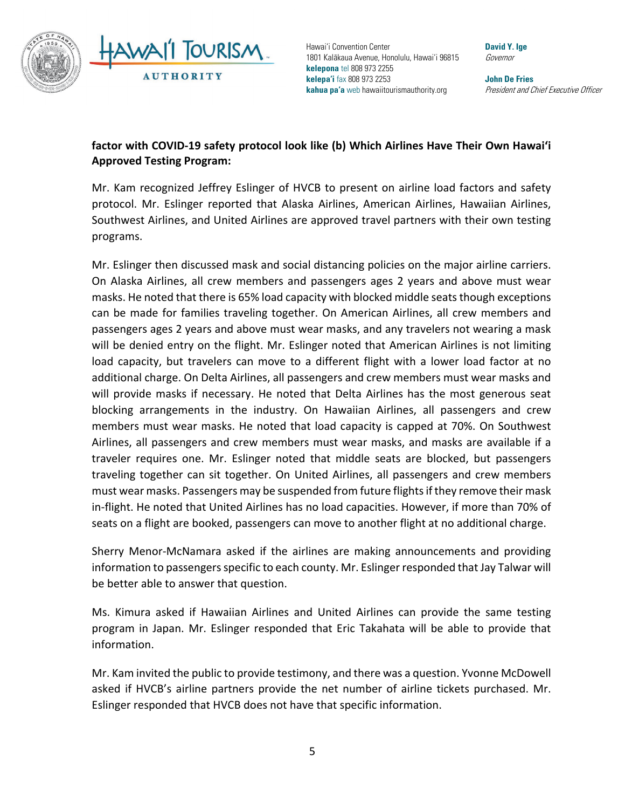

**David Y. Ige** Governor

**John De Fries** President and Chief Executive Officer

## **factor with COVID-19 safety protocol look like (b) Which Airlines Have Their Own Hawai'i Approved Testing Program:**

Mr. Kam recognized Jeffrey Eslinger of HVCB to present on airline load factors and safety protocol. Mr. Eslinger reported that Alaska Airlines, American Airlines, Hawaiian Airlines, Southwest Airlines, and United Airlines are approved travel partners with their own testing programs.

Mr. Eslinger then discussed mask and social distancing policies on the major airline carriers. On Alaska Airlines, all crew members and passengers ages 2 years and above must wear masks. He noted that there is 65% load capacity with blocked middle seats though exceptions can be made for families traveling together. On American Airlines, all crew members and passengers ages 2 years and above must wear masks, and any travelers not wearing a mask will be denied entry on the flight. Mr. Eslinger noted that American Airlines is not limiting load capacity, but travelers can move to a different flight with a lower load factor at no additional charge. On Delta Airlines, all passengers and crew members must wear masks and will provide masks if necessary. He noted that Delta Airlines has the most generous seat blocking arrangements in the industry. On Hawaiian Airlines, all passengers and crew members must wear masks. He noted that load capacity is capped at 70%. On Southwest Airlines, all passengers and crew members must wear masks, and masks are available if a traveler requires one. Mr. Eslinger noted that middle seats are blocked, but passengers traveling together can sit together. On United Airlines, all passengers and crew members must wear masks. Passengers may be suspended from future flightsif they remove their mask in-flight. He noted that United Airlines has no load capacities. However, if more than 70% of seats on a flight are booked, passengers can move to another flight at no additional charge.

Sherry Menor-McNamara asked if the airlines are making announcements and providing information to passengers specific to each county. Mr. Eslinger responded that Jay Talwar will be better able to answer that question.

Ms. Kimura asked if Hawaiian Airlines and United Airlines can provide the same testing program in Japan. Mr. Eslinger responded that Eric Takahata will be able to provide that information.

Mr. Kam invited the public to provide testimony, and there was a question. Yvonne McDowell asked if HVCB's airline partners provide the net number of airline tickets purchased. Mr. Eslinger responded that HVCB does not have that specific information.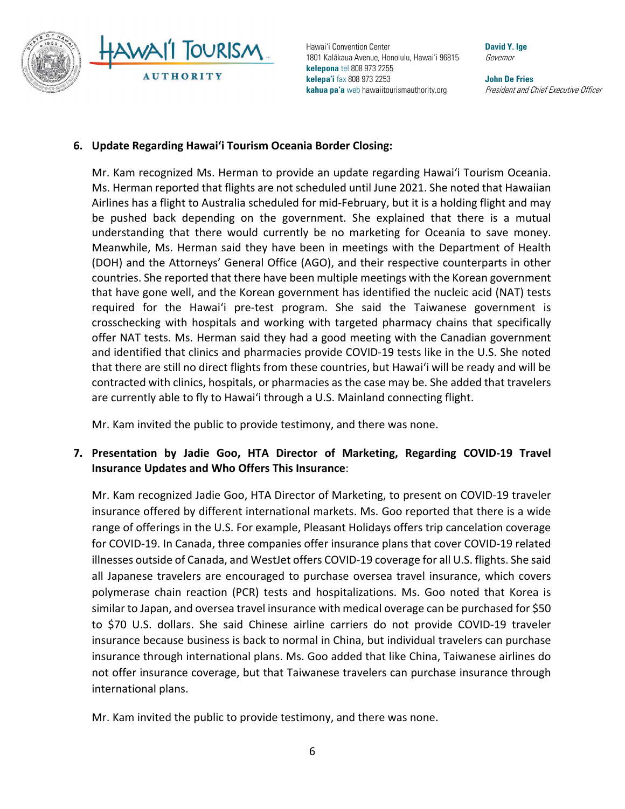

**David Y. Ige** Governor

**John De Fries** President and Chief Executive Officer

#### **6. Update Regarding Hawai'i Tourism Oceania Border Closing:**

Mr. Kam recognized Ms. Herman to provide an update regarding Hawai'i Tourism Oceania. Ms. Herman reported that flights are not scheduled until June 2021. She noted that Hawaiian Airlines has a flight to Australia scheduled for mid-February, but it is a holding flight and may be pushed back depending on the government. She explained that there is a mutual understanding that there would currently be no marketing for Oceania to save money. Meanwhile, Ms. Herman said they have been in meetings with the Department of Health (DOH) and the Attorneys' General Office (AGO), and their respective counterparts in other countries. She reported that there have been multiple meetings with the Korean government that have gone well, and the Korean government has identified the nucleic acid (NAT) tests required for the Hawai'i pre-test program. She said the Taiwanese government is crosschecking with hospitals and working with targeted pharmacy chains that specifically offer NAT tests. Ms. Herman said they had a good meeting with the Canadian government and identified that clinics and pharmacies provide COVID-19 tests like in the U.S. She noted that there are still no direct flights from these countries, but Hawai'i will be ready and will be contracted with clinics, hospitals, or pharmacies as the case may be. She added that travelers are currently able to fly to Hawai'i through a U.S. Mainland connecting flight.

Mr. Kam invited the public to provide testimony, and there was none.

### **7. Presentation by Jadie Goo, HTA Director of Marketing, Regarding COVID-19 Travel Insurance Updates and Who Offers This Insurance**:

Mr. Kam recognized Jadie Goo, HTA Director of Marketing, to present on COVID-19 traveler insurance offered by different international markets. Ms. Goo reported that there is a wide range of offerings in the U.S. For example, Pleasant Holidays offers trip cancelation coverage for COVID-19. In Canada, three companies offer insurance plans that cover COVID-19 related illnesses outside of Canada, and WestJet offers COVID-19 coverage for all U.S. flights. She said all Japanese travelers are encouraged to purchase oversea travel insurance, which covers polymerase chain reaction (PCR) tests and hospitalizations. Ms. Goo noted that Korea is similar to Japan, and oversea travel insurance with medical overage can be purchased for \$50 to \$70 U.S. dollars. She said Chinese airline carriers do not provide COVID-19 traveler insurance because business is back to normal in China, but individual travelers can purchase insurance through international plans. Ms. Goo added that like China, Taiwanese airlines do not offer insurance coverage, but that Taiwanese travelers can purchase insurance through international plans.

Mr. Kam invited the public to provide testimony, and there was none.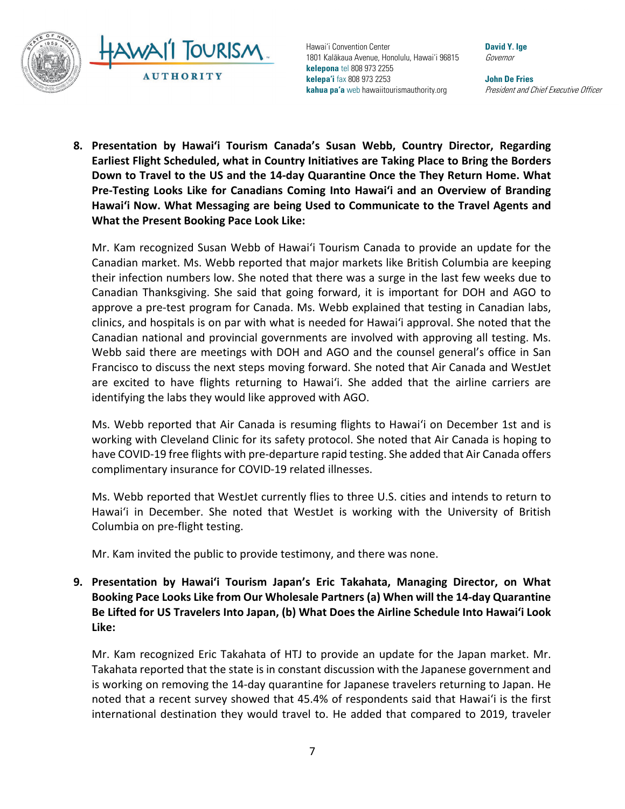

**David Y. Ige** Governor

**John De Fries** President and Chief Executive Officer

**8. Presentation by Hawai'i Tourism Canada's Susan Webb, Country Director, Regarding Earliest Flight Scheduled, what in Country Initiatives are Taking Place to Bring the Borders Down to Travel to the US and the 14-day Quarantine Once the They Return Home. What Pre-Testing Looks Like for Canadians Coming Into Hawai'i and an Overview of Branding Hawai'i Now. What Messaging are being Used to Communicate to the Travel Agents and What the Present Booking Pace Look Like:**

Mr. Kam recognized Susan Webb of Hawai'i Tourism Canada to provide an update for the Canadian market. Ms. Webb reported that major markets like British Columbia are keeping their infection numbers low. She noted that there was a surge in the last few weeks due to Canadian Thanksgiving. She said that going forward, it is important for DOH and AGO to approve a pre-test program for Canada. Ms. Webb explained that testing in Canadian labs, clinics, and hospitals is on par with what is needed for Hawai'i approval. She noted that the Canadian national and provincial governments are involved with approving all testing. Ms. Webb said there are meetings with DOH and AGO and the counsel general's office in San Francisco to discuss the next steps moving forward. She noted that Air Canada and WestJet are excited to have flights returning to Hawai'i. She added that the airline carriers are identifying the labs they would like approved with AGO.

Ms. Webb reported that Air Canada is resuming flights to Hawai'i on December 1st and is working with Cleveland Clinic for its safety protocol. She noted that Air Canada is hoping to have COVID-19 free flights with pre-departure rapid testing. She added that Air Canada offers complimentary insurance for COVID-19 related illnesses.

Ms. Webb reported that WestJet currently flies to three U.S. cities and intends to return to Hawai'i in December. She noted that WestJet is working with the University of British Columbia on pre-flight testing.

Mr. Kam invited the public to provide testimony, and there was none.

**9. Presentation by Hawai'i Tourism Japan's Eric Takahata, Managing Director, on What Booking Pace Looks Like from Our Wholesale Partners (a) When will the 14-day Quarantine Be Lifted for US Travelers Into Japan, (b) What Does the Airline Schedule Into Hawai'i Look Like:**

Mr. Kam recognized Eric Takahata of HTJ to provide an update for the Japan market. Mr. Takahata reported that the state is in constant discussion with the Japanese government and is working on removing the 14-day quarantine for Japanese travelers returning to Japan. He noted that a recent survey showed that 45.4% of respondents said that Hawai'i is the first international destination they would travel to. He added that compared to 2019, traveler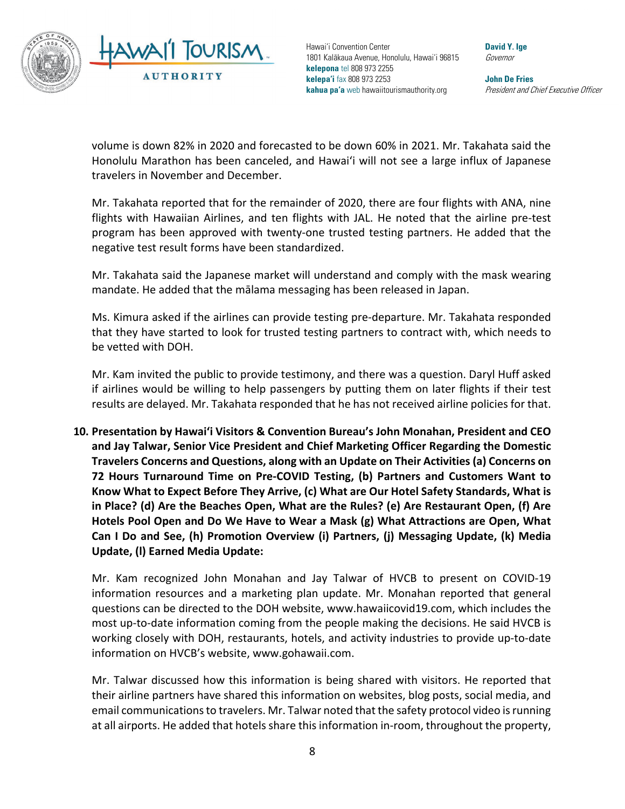

**David Y. Ige** Governor

**John De Fries** President and Chief Executive Officer

volume is down 82% in 2020 and forecasted to be down 60% in 2021. Mr. Takahata said the Honolulu Marathon has been canceled, and Hawai'i will not see a large influx of Japanese travelers in November and December.

Mr. Takahata reported that for the remainder of 2020, there are four flights with ANA, nine flights with Hawaiian Airlines, and ten flights with JAL. He noted that the airline pre-test program has been approved with twenty-one trusted testing partners. He added that the negative test result forms have been standardized.

Mr. Takahata said the Japanese market will understand and comply with the mask wearing mandate. He added that the mālama messaging has been released in Japan.

Ms. Kimura asked if the airlines can provide testing pre-departure. Mr. Takahata responded that they have started to look for trusted testing partners to contract with, which needs to be vetted with DOH.

Mr. Kam invited the public to provide testimony, and there was a question. Daryl Huff asked if airlines would be willing to help passengers by putting them on later flights if their test results are delayed. Mr. Takahata responded that he has not received airline policies for that.

**10. Presentation by Hawai'i Visitors & Convention Bureau's John Monahan, President and CEO and Jay Talwar, Senior Vice President and Chief Marketing Officer Regarding the Domestic Travelers Concerns and Questions, along with an Update on Their Activities (a) Concerns on 72 Hours Turnaround Time on Pre-COVID Testing, (b) Partners and Customers Want to Know What to Expect Before They Arrive, (c) What are Our Hotel Safety Standards, What is in Place? (d) Are the Beaches Open, What are the Rules? (e) Are Restaurant Open, (f) Are Hotels Pool Open and Do We Have to Wear a Mask (g) What Attractions are Open, What Can I Do and See, (h) Promotion Overview (i) Partners, (j) Messaging Update, (k) Media Update, (l) Earned Media Update:**

Mr. Kam recognized John Monahan and Jay Talwar of HVCB to present on COVID-19 information resources and a marketing plan update. Mr. Monahan reported that general questions can be directed to the DOH website, www.hawaiicovid19.com, which includes the most up-to-date information coming from the people making the decisions. He said HVCB is working closely with DOH, restaurants, hotels, and activity industries to provide up-to-date information on HVCB's website, www.gohawaii.com.

Mr. Talwar discussed how this information is being shared with visitors. He reported that their airline partners have shared this information on websites, blog posts, social media, and email communicationsto travelers. Mr. Talwar noted that the safety protocol video is running at all airports. He added that hotels share thisinformation in-room, throughout the property,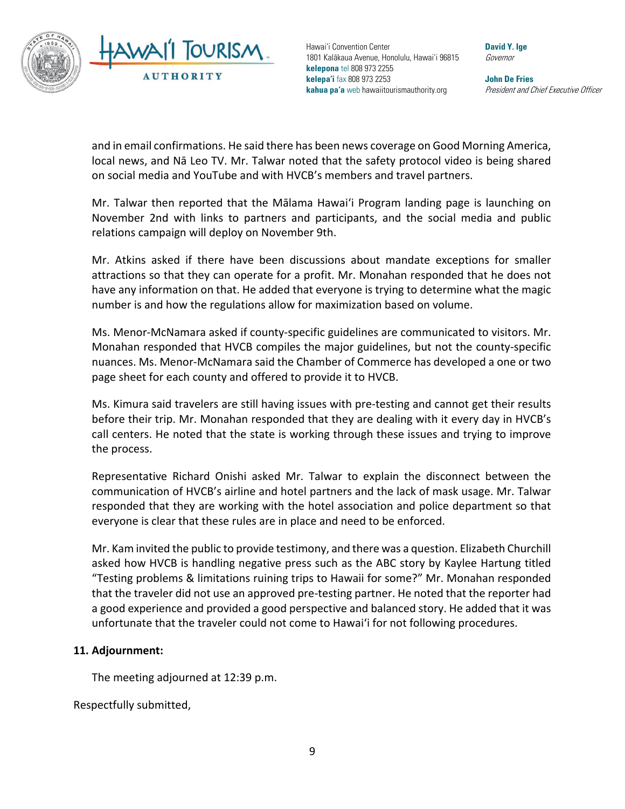

**David Y. Ige** Governor

**John De Fries** President and Chief Executive Officer

and in email confirmations. He said there has been news coverage on Good Morning America, local news, and Nā Leo TV. Mr. Talwar noted that the safety protocol video is being shared on social media and YouTube and with HVCB's members and travel partners.

Mr. Talwar then reported that the Mālama Hawai'i Program landing page is launching on November 2nd with links to partners and participants, and the social media and public relations campaign will deploy on November 9th.

Mr. Atkins asked if there have been discussions about mandate exceptions for smaller attractions so that they can operate for a profit. Mr. Monahan responded that he does not have any information on that. He added that everyone is trying to determine what the magic number is and how the regulations allow for maximization based on volume.

Ms. Menor-McNamara asked if county-specific guidelines are communicated to visitors. Mr. Monahan responded that HVCB compiles the major guidelines, but not the county-specific nuances. Ms. Menor-McNamara said the Chamber of Commerce has developed a one or two page sheet for each county and offered to provide it to HVCB.

Ms. Kimura said travelers are still having issues with pre-testing and cannot get their results before their trip. Mr. Monahan responded that they are dealing with it every day in HVCB's call centers. He noted that the state is working through these issues and trying to improve the process.

Representative Richard Onishi asked Mr. Talwar to explain the disconnect between the communication of HVCB's airline and hotel partners and the lack of mask usage. Mr. Talwar responded that they are working with the hotel association and police department so that everyone is clear that these rules are in place and need to be enforced.

Mr. Kam invited the public to provide testimony, and there was a question. Elizabeth Churchill asked how HVCB is handling negative press such as the ABC story by Kaylee Hartung titled "Testing problems & limitations ruining trips to Hawaii for some?" Mr. Monahan responded that the traveler did not use an approved pre-testing partner. He noted that the reporter had a good experience and provided a good perspective and balanced story. He added that it was unfortunate that the traveler could not come to Hawai'i for not following procedures.

#### **11. Adjournment:**

The meeting adjourned at 12:39 p.m.

Respectfully submitted,